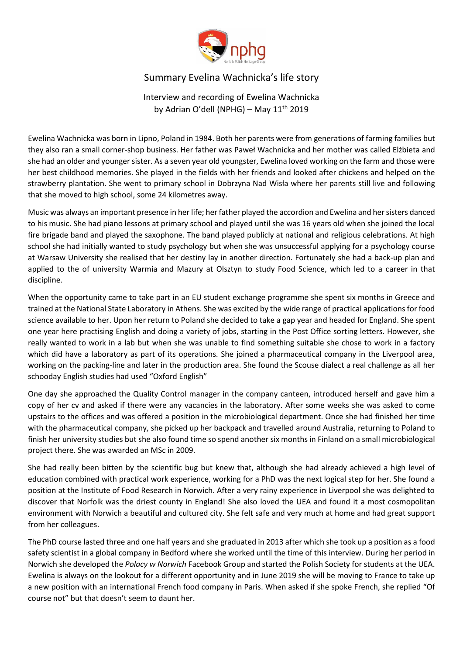

## Summary Evelina Wachnicka's life story

Interview and recording of Ewelina Wachnicka by Adrian O'dell (NPHG) – May  $11<sup>th</sup>$  2019

Ewelina Wachnicka was born in Lipno, Poland in 1984. Both her parents were from generations of farming families but they also ran a small corner-shop business. Her father was Paweł Wachnicka and her mother was called Elżbieta and she had an older and younger sister. As a seven year old youngster, Ewelina loved working on the farm and those were her best childhood memories. She played in the fields with her friends and looked after chickens and helped on the strawberry plantation. She went to primary school in Dobrzyna Nad Wisła where her parents still live and following that she moved to high school, some 24 kilometres away.

Music was always an important presence in her life; her father played the accordion and Ewelina and her sisters danced to his music. She had piano lessons at primary school and played until she was 16 years old when she joined the local fire brigade band and played the saxophone. The band played publicly at national and religious celebrations. At high school she had initially wanted to study psychology but when she was unsuccessful applying for a psychology course at Warsaw University she realised that her destiny lay in another direction. Fortunately she had a back-up plan and applied to the of university Warmia and Mazury at Olsztyn to study Food Science, which led to a career in that discipline.

When the opportunity came to take part in an EU student exchange programme she spent six months in Greece and trained at the National State Laboratory in Athens. She was excited by the wide range of practical applications for food science available to her. Upon her return to Poland she decided to take a gap year and headed for England. She spent one year here practising English and doing a variety of jobs, starting in the Post Office sorting letters. However, she really wanted to work in a lab but when she was unable to find something suitable she chose to work in a factory which did have a laboratory as part of its operations. She joined a pharmaceutical company in the Liverpool area, working on the packing-line and later in the production area. She found the Scouse dialect a real challenge as all her schooday English studies had used "Oxford English"

One day she approached the Quality Control manager in the company canteen, introduced herself and gave him a copy of her cv and asked if there were any vacancies in the laboratory. After some weeks she was asked to come upstairs to the offices and was offered a position in the microbiological department. Once she had finished her time with the pharmaceutical company, she picked up her backpack and travelled around Australia, returning to Poland to finish her university studies but she also found time so spend another six months in Finland on a small microbiological project there. She was awarded an MSc in 2009.

She had really been bitten by the scientific bug but knew that, although she had already achieved a high level of education combined with practical work experience, working for a PhD was the next logical step for her. She found a position at the Institute of Food Research in Norwich. After a very rainy experience in Liverpool she was delighted to discover that Norfolk was the driest county in England! She also loved the UEA and found it a most cosmopolitan environment with Norwich a beautiful and cultured city. She felt safe and very much at home and had great support from her colleagues.

The PhD course lasted three and one half years and she graduated in 2013 after which she took up a position as a food safety scientist in a global company in Bedford where she worked until the time of this interview. During her period in Norwich she developed the *Polacy w Norwich* Facebook Group and started the Polish Society for students at the UEA. Ewelina is always on the lookout for a different opportunity and in June 2019 she will be moving to France to take up a new position with an international French food company in Paris. When asked if she spoke French, she replied "Of course not" but that doesn't seem to daunt her.